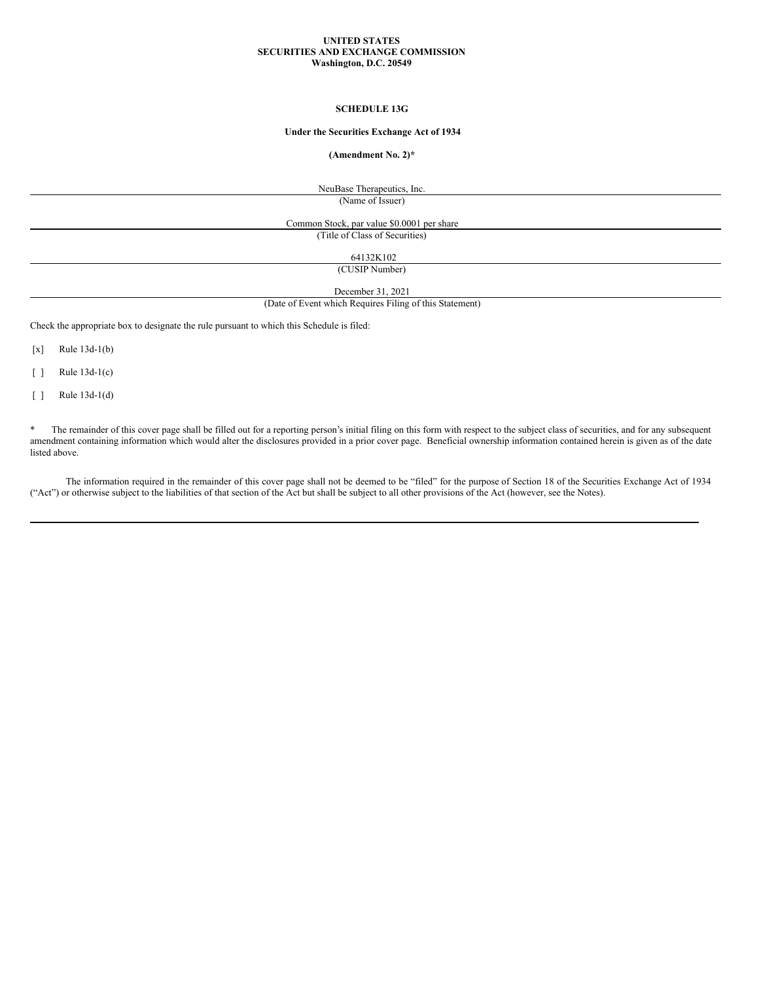#### **UNITED STATES SECURITIES AND EXCHANGE COMMISSION Washington, D.C. 20549**

#### **SCHEDULE 13G**

# **Under the Securities Exchange Act of 1934**

## **(Amendment No. 2)\***

NeuBase Therapeutics, Inc. (Name of Issuer)

Common Stock, par value \$0.0001 per share (Title of Class of Securities)

64132K102

(CUSIP Number)

December 31, 2021

(Date of Event which Requires Filing of this Statement)

Check the appropriate box to designate the rule pursuant to which this Schedule is filed:

[x] Rule 13d-1(b)

[ ] Rule 13d-1(c)

[ ] Rule 13d-1(d)

\* The remainder of this cover page shall be filled out for a reporting person's initial filing on this form with respect to the subject class of securities, and for any subsequent amendment containing information which would alter the disclosures provided in a prior cover page. Beneficial ownership information contained herein is given as of the date listed above.

The information required in the remainder of this cover page shall not be deemed to be "filed" for the purpose of Section 18 of the Securities Exchange Act of 1934 ("Act") or otherwise subject to the liabilities of that section of the Act but shall be subject to all other provisions of the Act (however, see the Notes).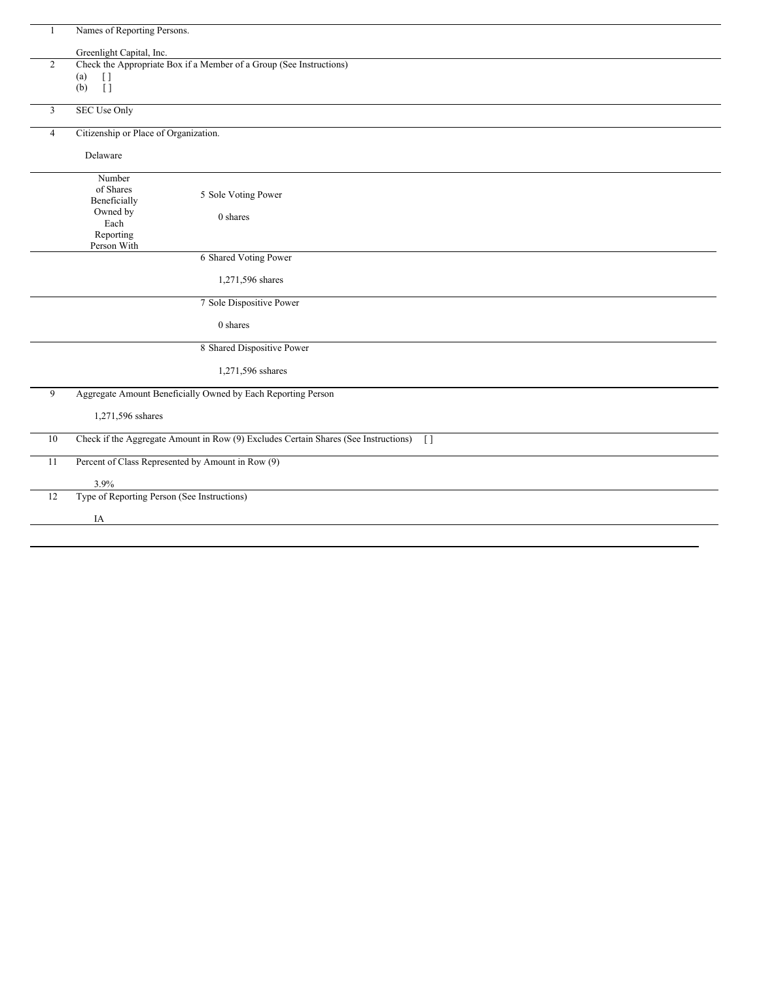| $\mathbf{1}$   | Names of Reporting Persons.                                                                     |
|----------------|-------------------------------------------------------------------------------------------------|
|                | Greenlight Capital, Inc.                                                                        |
| $\overline{2}$ | Check the Appropriate Box if a Member of a Group (See Instructions)                             |
|                | (a)<br>$\left[\right]$                                                                          |
|                | $\overline{1}$<br>(b)                                                                           |
|                |                                                                                                 |
| $\overline{3}$ | <b>SEC Use Only</b>                                                                             |
| $\overline{4}$ | Citizenship or Place of Organization.                                                           |
|                | Delaware                                                                                        |
|                |                                                                                                 |
|                | Number                                                                                          |
|                | of Shares<br>5 Sole Voting Power                                                                |
|                | Beneficially                                                                                    |
|                | Owned by<br>0 shares                                                                            |
|                | Each                                                                                            |
|                | Reporting                                                                                       |
|                | Person With                                                                                     |
|                | 6 Shared Voting Power                                                                           |
|                | 1,271,596 shares                                                                                |
|                | 7 Sole Dispositive Power                                                                        |
|                | 0 shares                                                                                        |
|                | 8 Shared Dispositive Power                                                                      |
|                | 1,271,596 sshares                                                                               |
| 9              | Aggregate Amount Beneficially Owned by Each Reporting Person                                    |
|                |                                                                                                 |
|                | 1,271,596 sshares                                                                               |
| 10             | Check if the Aggregate Amount in Row (9) Excludes Certain Shares (See Instructions)<br>$\lceil$ |
| 11             | Percent of Class Represented by Amount in Row (9)                                               |
|                | 3.9%                                                                                            |
| 12             | Type of Reporting Person (See Instructions)                                                     |
|                |                                                                                                 |
|                | IA                                                                                              |
|                |                                                                                                 |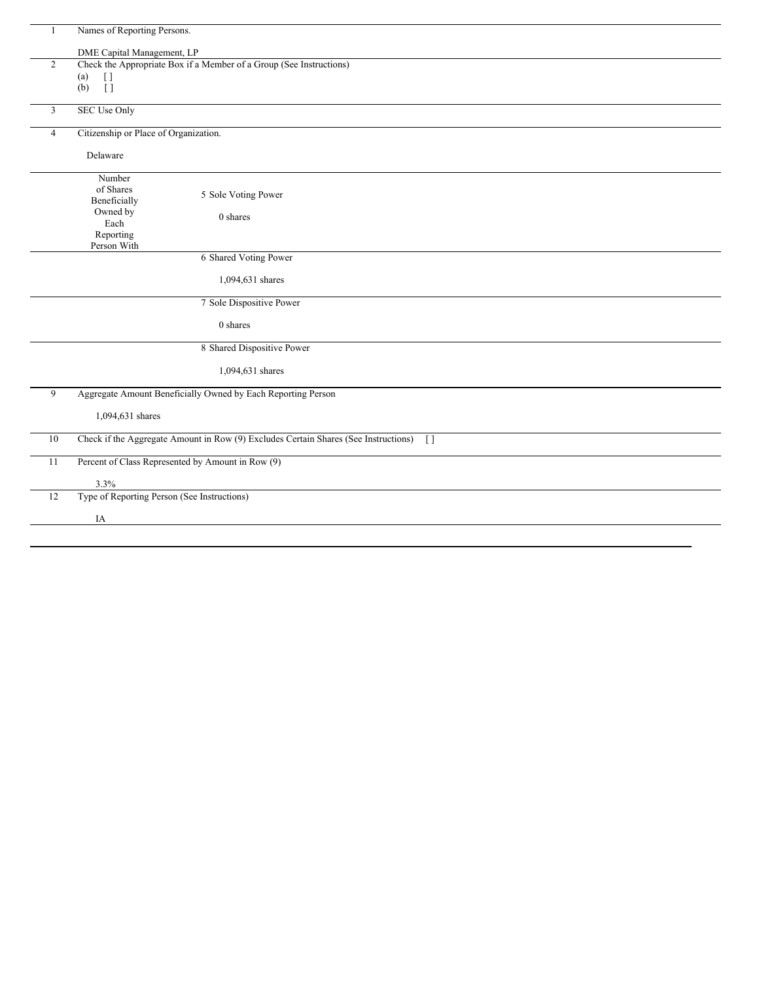|                | Names of Reporting Persons.                                                                     |
|----------------|-------------------------------------------------------------------------------------------------|
|                | DME Capital Management, LP                                                                      |
| 2              | Check the Appropriate Box if a Member of a Group (See Instructions)                             |
|                | (a)<br>$[ \ ]$                                                                                  |
|                | $\lceil$<br>(b)                                                                                 |
|                |                                                                                                 |
| 3              | <b>SEC Use Only</b>                                                                             |
| $\overline{4}$ | Citizenship or Place of Organization.                                                           |
|                | Delaware                                                                                        |
|                | Number                                                                                          |
|                | of Shares<br>5 Sole Voting Power                                                                |
|                | Beneficially                                                                                    |
|                | Owned by<br>0 shares<br>Each                                                                    |
|                | Reporting                                                                                       |
|                | Person With                                                                                     |
|                | 6 Shared Voting Power                                                                           |
|                | 1,094,631 shares                                                                                |
|                | 7 Sole Dispositive Power                                                                        |
|                | 0 shares                                                                                        |
|                | 8 Shared Dispositive Power                                                                      |
|                | 1,094,631 shares                                                                                |
| 9              | Aggregate Amount Beneficially Owned by Each Reporting Person                                    |
|                | 1,094,631 shares                                                                                |
| 10             | Check if the Aggregate Amount in Row (9) Excludes Certain Shares (See Instructions)<br>$\lceil$ |
| 11             | Percent of Class Represented by Amount in Row (9)                                               |
|                | 3.3%                                                                                            |
| $12\,$         | Type of Reporting Person (See Instructions)                                                     |
|                |                                                                                                 |
|                | IA                                                                                              |
|                |                                                                                                 |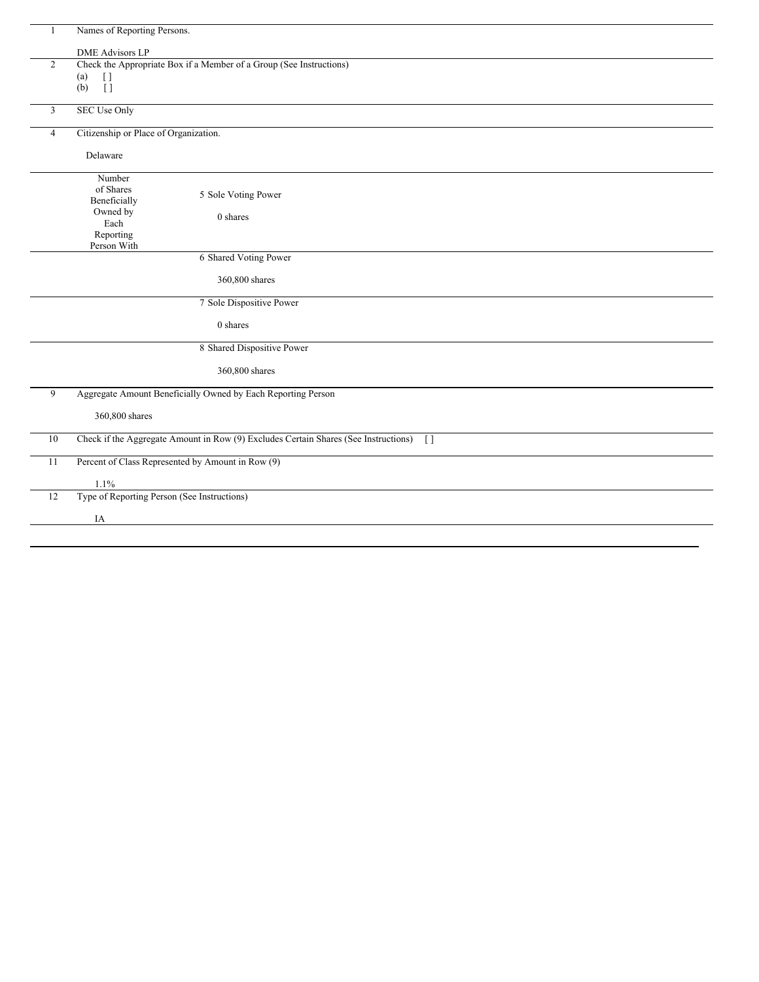| Names of Reporting Persons.<br><b>DME Advisors LP</b><br>Check the Appropriate Box if a Member of a Group (See Instructions)<br>$\overline{2}$<br>(a)<br>$\lbrack \, \rbrack$<br>$\overline{1}$<br>(b)<br><b>SEC Use Only</b><br>3<br>Citizenship or Place of Organization.<br>$\overline{4}$<br>Delaware<br>Number<br>of Shares<br>5 Sole Voting Power<br>Beneficially<br>Owned by<br>0 shares<br>Each<br>Reporting<br>Person With<br>6 Shared Voting Power<br>360,800 shares<br>7 Sole Dispositive Power |  |
|------------------------------------------------------------------------------------------------------------------------------------------------------------------------------------------------------------------------------------------------------------------------------------------------------------------------------------------------------------------------------------------------------------------------------------------------------------------------------------------------------------|--|
|                                                                                                                                                                                                                                                                                                                                                                                                                                                                                                            |  |
|                                                                                                                                                                                                                                                                                                                                                                                                                                                                                                            |  |
|                                                                                                                                                                                                                                                                                                                                                                                                                                                                                                            |  |
|                                                                                                                                                                                                                                                                                                                                                                                                                                                                                                            |  |
|                                                                                                                                                                                                                                                                                                                                                                                                                                                                                                            |  |
|                                                                                                                                                                                                                                                                                                                                                                                                                                                                                                            |  |
|                                                                                                                                                                                                                                                                                                                                                                                                                                                                                                            |  |
|                                                                                                                                                                                                                                                                                                                                                                                                                                                                                                            |  |
|                                                                                                                                                                                                                                                                                                                                                                                                                                                                                                            |  |
|                                                                                                                                                                                                                                                                                                                                                                                                                                                                                                            |  |
|                                                                                                                                                                                                                                                                                                                                                                                                                                                                                                            |  |
|                                                                                                                                                                                                                                                                                                                                                                                                                                                                                                            |  |
|                                                                                                                                                                                                                                                                                                                                                                                                                                                                                                            |  |
|                                                                                                                                                                                                                                                                                                                                                                                                                                                                                                            |  |
|                                                                                                                                                                                                                                                                                                                                                                                                                                                                                                            |  |
|                                                                                                                                                                                                                                                                                                                                                                                                                                                                                                            |  |
|                                                                                                                                                                                                                                                                                                                                                                                                                                                                                                            |  |
| $0$ shares                                                                                                                                                                                                                                                                                                                                                                                                                                                                                                 |  |
| 8 Shared Dispositive Power                                                                                                                                                                                                                                                                                                                                                                                                                                                                                 |  |
| 360,800 shares                                                                                                                                                                                                                                                                                                                                                                                                                                                                                             |  |
| Aggregate Amount Beneficially Owned by Each Reporting Person<br>9                                                                                                                                                                                                                                                                                                                                                                                                                                          |  |
| 360,800 shares                                                                                                                                                                                                                                                                                                                                                                                                                                                                                             |  |
| Check if the Aggregate Amount in Row (9) Excludes Certain Shares (See Instructions)<br>10<br>$\Box$                                                                                                                                                                                                                                                                                                                                                                                                        |  |
| Percent of Class Represented by Amount in Row (9)<br>11                                                                                                                                                                                                                                                                                                                                                                                                                                                    |  |
| 1.1%                                                                                                                                                                                                                                                                                                                                                                                                                                                                                                       |  |
| Type of Reporting Person (See Instructions)<br>12                                                                                                                                                                                                                                                                                                                                                                                                                                                          |  |
| IA                                                                                                                                                                                                                                                                                                                                                                                                                                                                                                         |  |
|                                                                                                                                                                                                                                                                                                                                                                                                                                                                                                            |  |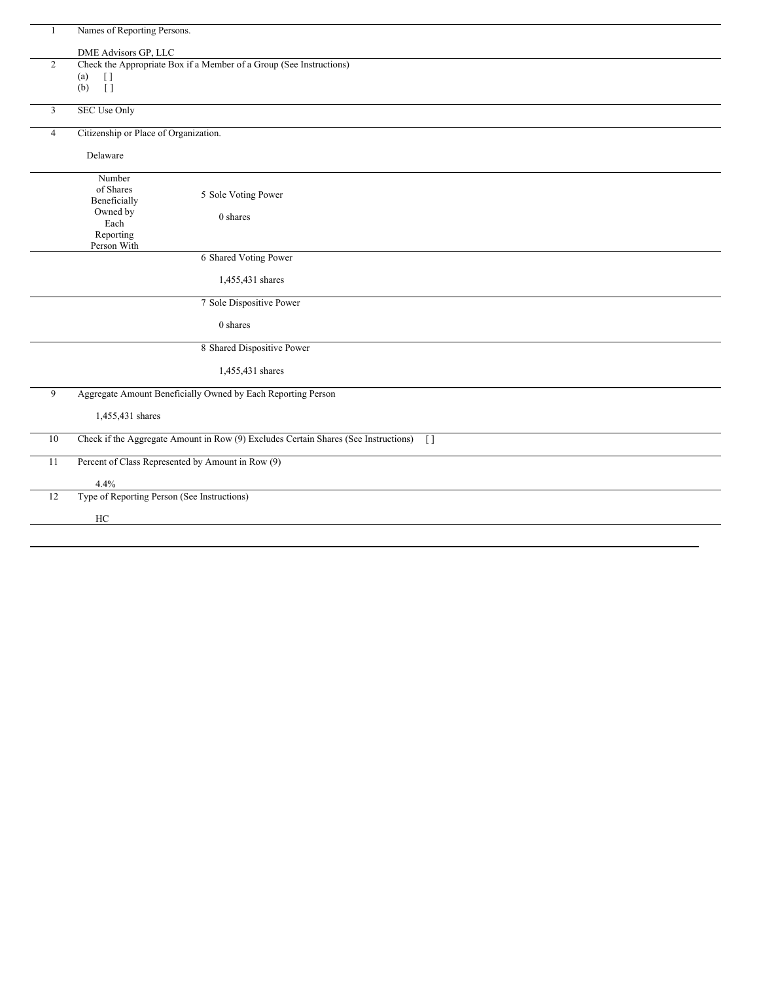|                | Names of Reporting Persons.                                                                     |
|----------------|-------------------------------------------------------------------------------------------------|
|                | DME Advisors GP, LLC                                                                            |
| $\overline{2}$ | Check the Appropriate Box if a Member of a Group (See Instructions)                             |
|                | (a)<br>$[ \ ]$                                                                                  |
|                | Ϊİ<br>(b)                                                                                       |
|                |                                                                                                 |
| 3              | SEC Use Only                                                                                    |
| $\overline{4}$ | Citizenship or Place of Organization.                                                           |
|                | Delaware                                                                                        |
|                | Number                                                                                          |
|                | of Shares<br>5 Sole Voting Power                                                                |
|                | Beneficially                                                                                    |
|                | Owned by<br>0 shares<br>Each                                                                    |
|                | Reporting                                                                                       |
|                | Person With                                                                                     |
|                | 6 Shared Voting Power                                                                           |
|                |                                                                                                 |
|                | 1,455,431 shares                                                                                |
|                | 7 Sole Dispositive Power                                                                        |
|                | 0 shares                                                                                        |
|                | 8 Shared Dispositive Power                                                                      |
|                | 1,455,431 shares                                                                                |
| 9              | Aggregate Amount Beneficially Owned by Each Reporting Person                                    |
|                |                                                                                                 |
|                | 1,455,431 shares                                                                                |
| 10             | Check if the Aggregate Amount in Row (9) Excludes Certain Shares (See Instructions)<br>$\lceil$ |
| 11             | Percent of Class Represented by Amount in Row (9)                                               |
|                | 4.4%                                                                                            |
| 12             | Type of Reporting Person (See Instructions)                                                     |
|                |                                                                                                 |
|                | HC                                                                                              |
|                |                                                                                                 |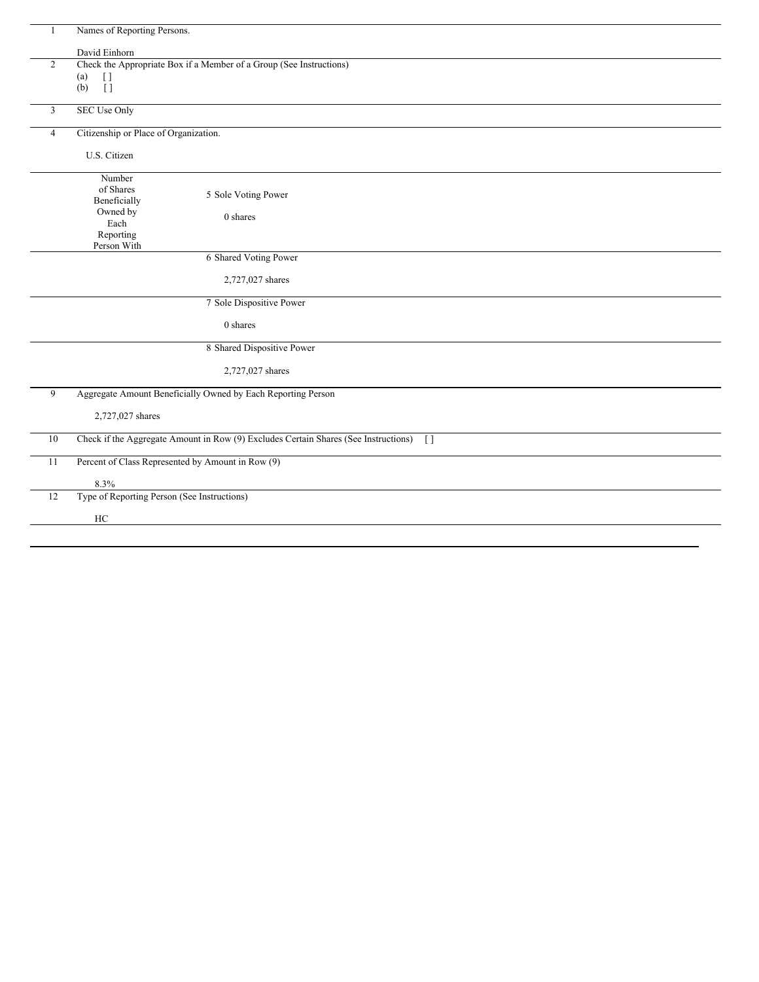|                | Names of Reporting Persons.                                                                |
|----------------|--------------------------------------------------------------------------------------------|
|                | David Einhorn                                                                              |
| $\overline{2}$ | Check the Appropriate Box if a Member of a Group (See Instructions)                        |
|                | $[ \ ]$<br>(a)                                                                             |
|                | $\overline{1}$<br>(b)                                                                      |
| $\overline{3}$ | <b>SEC Use Only</b>                                                                        |
| 4              | Citizenship or Place of Organization.                                                      |
|                | U.S. Citizen                                                                               |
|                | Number                                                                                     |
|                | of Shares<br>5 Sole Voting Power                                                           |
|                | Beneficially<br>Owned by                                                                   |
|                | 0 shares<br>Each                                                                           |
|                | Reporting                                                                                  |
|                | Person With                                                                                |
|                | 6 Shared Voting Power                                                                      |
|                | 2,727,027 shares                                                                           |
|                | 7 Sole Dispositive Power                                                                   |
|                | 0 shares                                                                                   |
|                | 8 Shared Dispositive Power                                                                 |
|                | 2,727,027 shares                                                                           |
| 9              | Aggregate Amount Beneficially Owned by Each Reporting Person                               |
|                | 2,727,027 shares                                                                           |
| $10\,$         | Check if the Aggregate Amount in Row (9) Excludes Certain Shares (See Instructions)<br>$[$ |
| 11             | Percent of Class Represented by Amount in Row (9)                                          |
|                | 8.3%                                                                                       |
| 12             | Type of Reporting Person (See Instructions)                                                |
|                | HC                                                                                         |
|                |                                                                                            |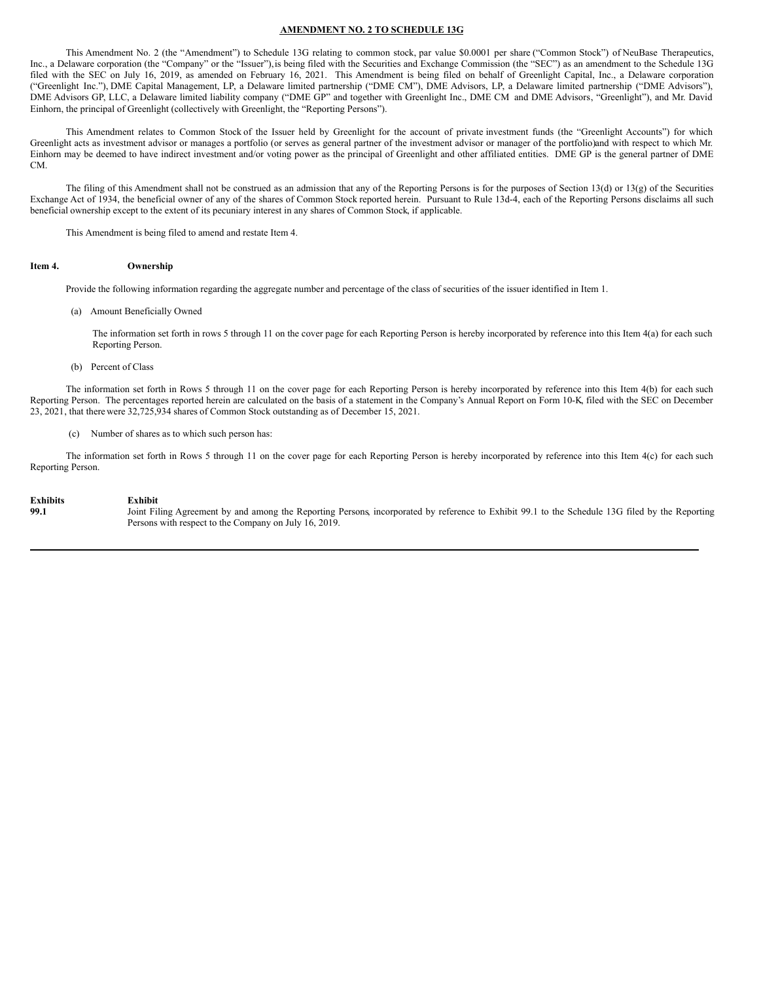## **AMENDMENT NO. 2 TO SCHEDULE 13G**

This Amendment No. 2 (the "Amendment") to Schedule 13G relating to common stock, par value \$0.0001 per share ("Common Stock") of NeuBase Therapeutics, Inc., a Delaware corporation (the "Company" or the "Issuer"), is being filed with the Securities and Exchange Commission (the "SEC") as an amendment to the Schedule 13G filed with the SEC on July 16, 2019, as amended on February 16, 2021. This Amendment is being filed on behalf of Greenlight Capital, Inc., a Delaware corporation ("Greenlight Inc."), DME Capital Management, LP, a Delaware limited partnership ("DME CM"), DME Advisors, LP, a Delaware limited partnership ("DME Advisors"), DME Advisors GP, LLC, a Delaware limited liability company ("DME GP" and together with Greenlight Inc., DME CM and DME Advisors, "Greenlight"), and Mr. David Einhorn, the principal of Greenlight (collectively with Greenlight, the "Reporting Persons").

This Amendment relates to Common Stock of the Issuer held by Greenlight for the account of private investment funds (the "Greenlight Accounts") for which Greenlight acts as investment advisor or manages a portfolio (or serves as general partner of the investment advisor or manager of the portfolio)and with respect to which Mr. Einhorn may be deemed to have indirect investment and/or voting power as the principal of Greenlight and other affiliated entities. DME GP is the general partner of DME CM.

The filing of this Amendment shall not be construed as an admission that any of the Reporting Persons is for the purposes of Section 13(d) or 13(g) of the Securities Exchange Act of 1934, the beneficial owner of any of the shares of Common Stock reported herein. Pursuant to Rule 13d-4, each of the Reporting Persons disclaims all such beneficial ownership except to the extent of its pecuniary interest in any shares of Common Stock, if applicable.

This Amendment is being filed to amend and restate Item 4.

## **Item 4. Ownership**

Provide the following information regarding the aggregate number and percentage of the class of securities of the issuer identified in Item 1.

(a) Amount Beneficially Owned

The information set forth in rows 5 through 11 on the cover page for each Reporting Person is hereby incorporated by reference into this Item 4(a) for each such Reporting Person.

(b) Percent of Class

The information set forth in Rows 5 through 11 on the cover page for each Reporting Person is hereby incorporated by reference into this Item 4(b) for each such Reporting Person. The percentages reported herein are calculated on the basis of a statement in the Company's Annual Report on Form 10-K, filed with the SEC on December 23, 2021, that therewere 32,725,934 shares of Common Stock outstanding as of December 15, 2021.

(c) Number of shares as to which such person has:

The information set forth in Rows 5 through 11 on the cover page for each Reporting Person is hereby incorporated by reference into this Item 4(c) for each such Reporting Person.

## **Exhibits Exhibit**

**99.1** Joint Filing Agreement by and among the Reporting Persons, incorporated by reference to Exhibit 99.1 to the Schedule 13G filed by the Reporting Persons with respect to the Company on July 16, 2019.